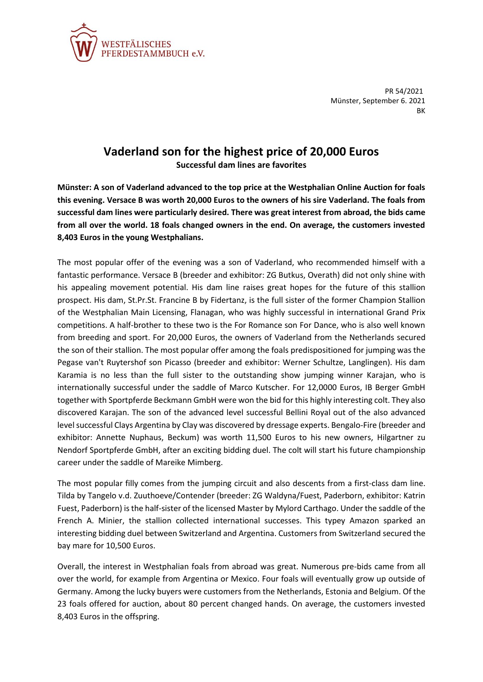

PR 54/2021 Münster, September 6. 2021 **BK** 

## **Vaderland son for the highest price of 20,000 Euros**

**Successful dam lines are favorites**

**Münster: A son of Vaderland advanced to the top price at the Westphalian Online Auction for foals this evening. Versace B was worth 20,000 Euros to the owners of his sire Vaderland. The foals from successful dam lines were particularly desired. There was great interest from abroad, the bids came from all over the world. 18 foals changed owners in the end. On average, the customers invested 8,403 Euros in the young Westphalians.**

The most popular offer of the evening was a son of Vaderland, who recommended himself with a fantastic performance. Versace B (breeder and exhibitor: ZG Butkus, Overath) did not only shine with his appealing movement potential. His dam line raises great hopes for the future of this stallion prospect. His dam, St.Pr.St. Francine B by Fidertanz, is the full sister of the former Champion Stallion of the Westphalian Main Licensing, Flanagan, who was highly successful in international Grand Prix competitions. A half-brother to these two is the For Romance son For Dance, who is also well known from breeding and sport. For 20,000 Euros, the owners of Vaderland from the Netherlands secured the son of their stallion. The most popular offer among the foals predispositioned for jumping was the Pegase van't Ruytershof son Picasso (breeder and exhibitor: Werner Schultze, Langlingen). His dam Karamia is no less than the full sister to the outstanding show jumping winner Karajan, who is internationally successful under the saddle of Marco Kutscher. For 12,0000 Euros, IB Berger GmbH together with Sportpferde Beckmann GmbH were won the bid for this highly interesting colt. They also discovered Karajan. The son of the advanced level successful Bellini Royal out of the also advanced level successful Clays Argentina by Clay was discovered by dressage experts. Bengalo-Fire (breeder and exhibitor: Annette Nuphaus, Beckum) was worth 11,500 Euros to his new owners, Hilgartner zu Nendorf Sportpferde GmbH, after an exciting bidding duel. The colt will start his future championship career under the saddle of Mareike Mimberg.

The most popular filly comes from the jumping circuit and also descents from a first-class dam line. Tilda by Tangelo v.d. Zuuthoeve/Contender (breeder: ZG Waldyna/Fuest, Paderborn, exhibitor: Katrin Fuest, Paderborn) is the half-sister of the licensed Master by Mylord Carthago. Under the saddle of the French A. Minier, the stallion collected international successes. This typey Amazon sparked an interesting bidding duel between Switzerland and Argentina. Customers from Switzerland secured the bay mare for 10,500 Euros.

Overall, the interest in Westphalian foals from abroad was great. Numerous pre-bids came from all over the world, for example from Argentina or Mexico. Four foals will eventually grow up outside of Germany. Among the lucky buyers were customers from the Netherlands, Estonia and Belgium. Of the 23 foals offered for auction, about 80 percent changed hands. On average, the customers invested 8,403 Euros in the offspring.